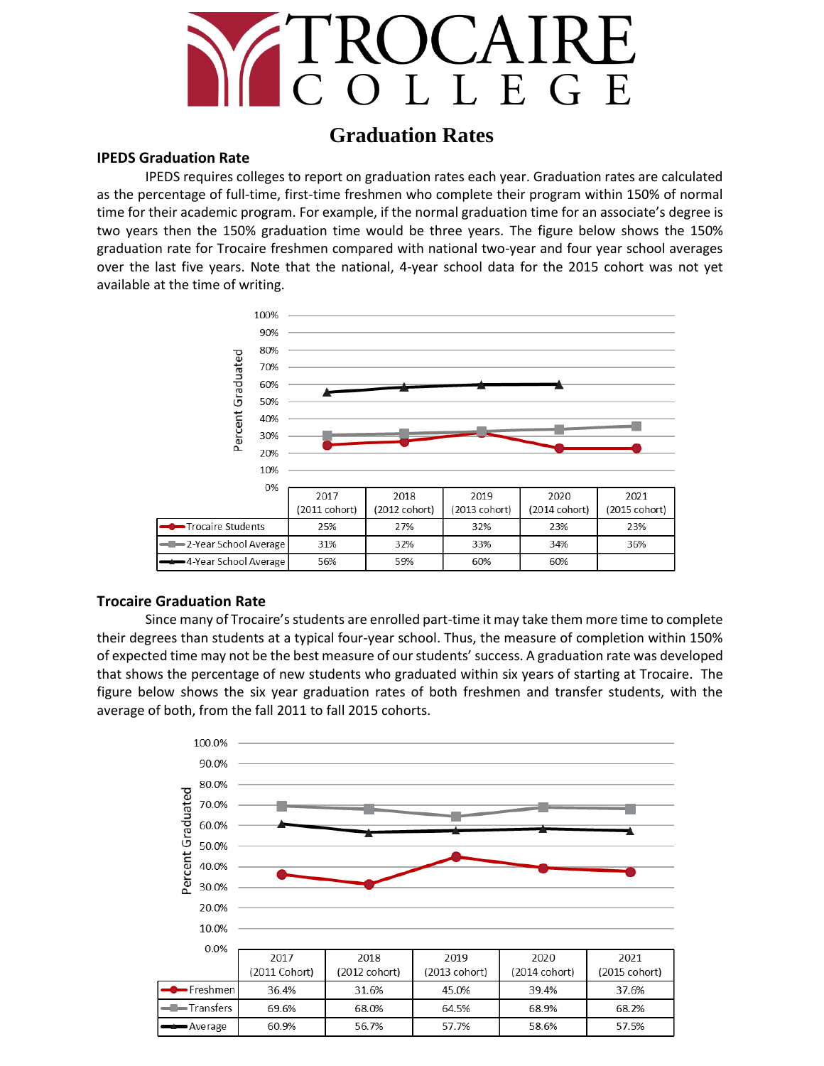

# **Graduation Rates**

## **IPEDS Graduation Rate**

IPEDS requires colleges to report on graduation rates each year. Graduation rates are calculated as the percentage of full-time, first-time freshmen who complete their program within 150% of normal time for their academic program. For example, if the normal graduation time for an associate's degree is two years then the 150% graduation time would be three years. The figure below shows the 150% graduation rate for Trocaire freshmen compared with national two-year and four year school averages over the last five years. Note that the national, 4-year school data for the 2015 cohort was not yet available at the time of writing.



#### **Trocaire Graduation Rate**

Since many of Trocaire's students are enrolled part-time it may take them more time to complete their degrees than students at a typical four-year school. Thus, the measure of completion within 150% of expected time may not be the best measure of our students' success. A graduation rate was developed that shows the percentage of new students who graduated within six years of starting at Trocaire. The figure below shows the six year graduation rates of both freshmen and transfer students, with the average of both, from the fall 2011 to fall 2015 cohorts.